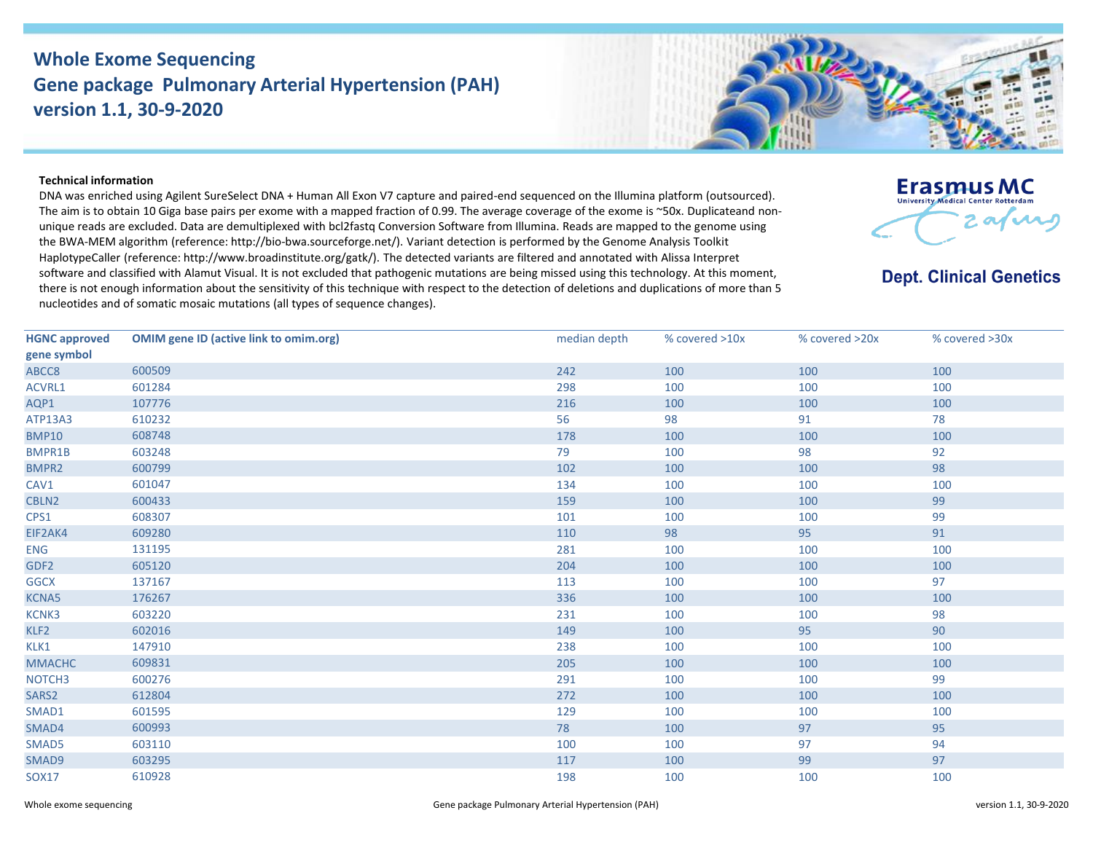## **Whole Exome Sequencing Gene package Pulmonary Arterial Hypertension (PAH) version 1.1, 30-9-2020**



## **Technical information**

DNA was enriched using Agilent SureSelect DNA + Human All Exon V7 capture and paired-end sequenced on the Illumina platform (outsourced). The aim is to obtain 10 Giga base pairs per exome with a mapped fraction of 0.99. The average coverage of the exome is ~50x. Duplicateand nonunique reads are excluded. Data are demultiplexed with bcl2fastq Conversion Software from Illumina. Reads are mapped to the genome using the BWA-MEM algorithm (reference: http://bio‐bwa.sourceforge.net/). Variant detection is performed by the Genome Analysis Toolkit HaplotypeCaller (reference: http://www.broadinstitute.org/gatk/). The detected variants are filtered and annotated with Alissa Interpret software and classified with Alamut Visual. It is not excluded that pathogenic mutations are being missed using this technology. At this moment, there is not enough information about the sensitivity of this technique with respect to the detection of deletions and duplications of more than 5 nucleotides and of somatic mosaic mutations (all types of sequence changes).



**Dept. Clinical Genetics** 

| <b>HGNC approved</b> | <b>OMIM gene ID (active link to omim.org)</b> | median depth | % covered >10x | % covered >20x | % covered >30x |
|----------------------|-----------------------------------------------|--------------|----------------|----------------|----------------|
| gene symbol          |                                               |              |                |                |                |
| ABCC8                | 600509                                        | 242          | 100            | 100            | 100            |
| ACVRL1               | 601284                                        | 298          | 100            | 100            | 100            |
| AQP1                 | 107776                                        | 216          | 100            | 100            | 100            |
| ATP13A3              | 610232                                        | 56           | 98             | 91             | 78             |
| <b>BMP10</b>         | 608748                                        | 178          | 100            | 100            | 100            |
| <b>BMPR1B</b>        | 603248                                        | 79           | 100            | 98             | 92             |
| <b>BMPR2</b>         | 600799                                        | 102          | 100            | 100            | 98             |
| CAV1                 | 601047                                        | 134          | 100            | 100            | 100            |
| CBLN2                | 600433                                        | 159          | 100            | 100            | 99             |
| CPS1                 | 608307                                        | 101          | 100            | 100            | 99             |
| EIF2AK4              | 609280                                        | 110          | 98             | 95             | 91             |
| <b>ENG</b>           | 131195                                        | 281          | 100            | 100            | 100            |
| GDF <sub>2</sub>     | 605120                                        | 204          | 100            | 100            | 100            |
| <b>GGCX</b>          | 137167                                        | 113          | 100            | 100            | 97             |
| KCNA5                | 176267                                        | 336          | 100            | 100            | 100            |
| KCNK3                | 603220                                        | 231          | 100            | 100            | 98             |
| KLF2                 | 602016                                        | 149          | 100            | 95             | 90             |
| KLK1                 | 147910                                        | 238          | 100            | 100            | 100            |
| <b>MMACHC</b>        | 609831                                        | 205          | 100            | 100            | 100            |
| NOTCH <sub>3</sub>   | 600276                                        | 291          | 100            | 100            | 99             |
| SARS2                | 612804                                        | 272          | 100            | 100            | 100            |
| SMAD1                | 601595                                        | 129          | 100            | 100            | 100            |
| SMAD4                | 600993                                        | 78           | 100            | 97             | 95             |
| SMAD5                | 603110                                        | 100          | 100            | 97             | 94             |
| SMAD9                | 603295                                        | 117          | 100            | 99             | 97             |
| <b>SOX17</b>         | 610928                                        | 198          | 100            | 100            | 100            |